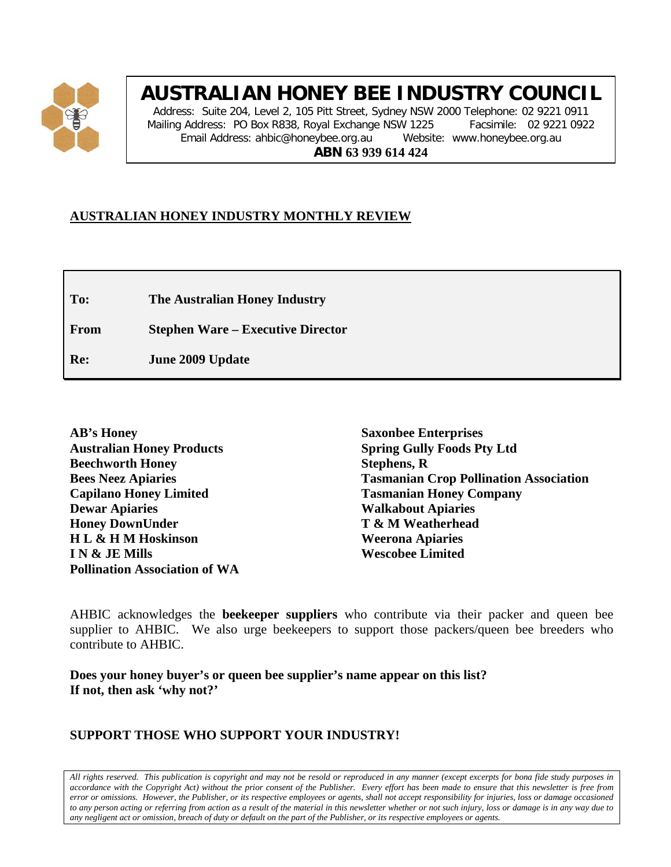

# **AUSTRALIAN HONEY BEE INDUSTRY COUNCIL**

Address: Suite 204, Level 2, 105 Pitt Street, Sydney NSW 2000 Telephone: 02 9221 0911 Mailing Address: PO Box R838, Royal Exchange NSW 1225 Facsimile: 02 9221 0922 Email Address: ahbic@honeybee.org.au Website: www.honeybee.org.au **ABN 63 939 614 424**

## **AUSTRALIAN HONEY INDUSTRY MONTHLY REVIEW**

**To: The Australian Honey Industry**

**From Stephen Ware – Executive Director**

**Re: June 2009 Update**

**Saxonbee Enterprises Spring Gully Foods Pty Ltd Stephens, R Tasmanian Crop Pollination Association Tasmanian Honey Company Walkabout Apiaries T & M Weatherhead Weerona Apiaries Wescobee Limited**

AHBIC acknowledges the **beekeeper suppliers** who contribute via their packer and queen bee supplier to AHBIC. We also urge beekeepers to support those packers/queen bee breeders who contribute to AHBIC.

**Does your honey buyer's or queen bee supplier's name appear on this list? If not, then ask 'why not?'**

## **SUPPORT THOSE WHO SUPPORT YOUR INDUSTRY!**

*All rights reserved. This publication is copyright and may not be resold or reproduced in any manner (except excerpts for bona fide study purposes in accordance with the Copyright Act) without the prior consent of the Publisher. Every effort has been made to ensure that this newsletter is free from error or omissions. However, the Publisher, or its respective employees or agents, shall not accept responsibility for injuries, loss or damage occasioned to any person acting or referring from action as a result of the material in this newsletter whether or not such injury, loss or damage is in any way due to any negligent act or omission, breach of duty or default on the part of the Publisher, or its respective employees or agents.*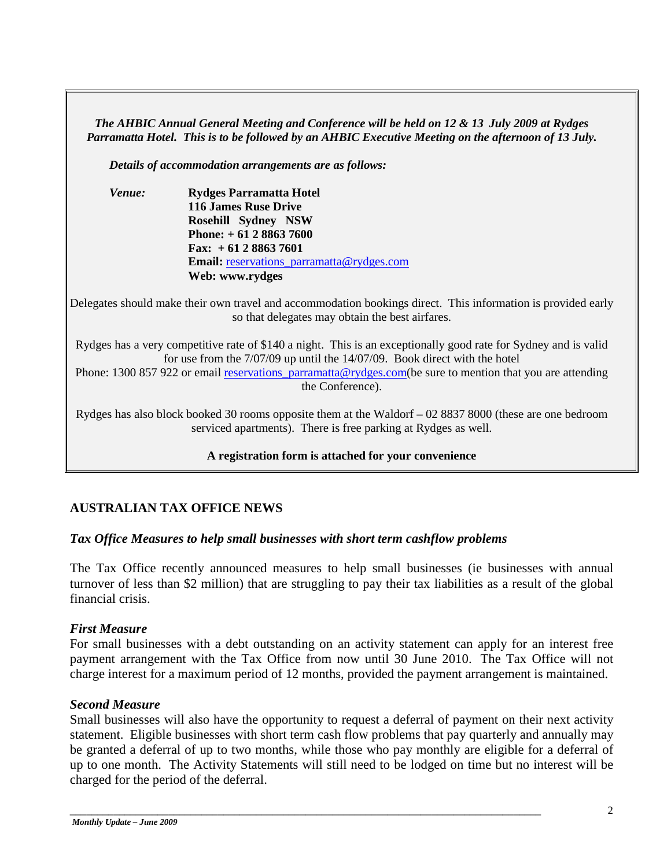*The AHBIC Annual General Meeting and Conference will be held on 12 & 13 July 2009 at Rydges Parramatta Hotel. This is to be followed by an AHBIC Executive Meeting on the afternoon of 13 July.* 

*Details of accommodation arrangements are as follows:*

| <i>Venue:</i> | <b>Rydges Parramatta Hotel</b>                   |
|---------------|--------------------------------------------------|
|               | <b>116 James Ruse Drive</b>                      |
|               | <b>Rosehill Sydney NSW</b>                       |
|               | Phone: $+61288637600$                            |
|               | Fax: $+61288637601$                              |
|               | <b>Email:</b> reservations parramatta@rydges.com |
|               | Web: www.rydges                                  |

Delegates should make their own travel and accommodation bookings direct. This information is provided early so that delegates may obtain the best airfares.

Rydges has a very competitive rate of \$140 a night. This is an exceptionally good rate for Sydney and is valid for use from the 7/07/09 up until the 14/07/09. Book direct with the hotel

Phone: 1300 857 922 or email reservations parramatta@rydges.com(be sure to mention that you are attending the Conference).

Rydges has also block booked 30 rooms opposite them at the Waldorf – 02 8837 8000 (these are one bedroom serviced apartments). There is free parking at Rydges as well.

### **A registration form is attached for your convenience**

## **AUSTRALIAN TAX OFFICE NEWS**

### *Tax Office Measures to help small businesses with short term cashflow problems*

The Tax Office recently announced measures to help small businesses (ie businesses with annual turnover of less than \$2 million) that are struggling to pay their tax liabilities as a result of the global financial crisis.

### *First Measure*

For small businesses with a debt outstanding on an activity statement can apply for an interest free payment arrangement with the Tax Office from now until 30 June 2010. The Tax Office will not charge interest for a maximum period of 12 months, provided the payment arrangement is maintained.

## *Second Measure*

Small businesses will also have the opportunity to request a deferral of payment on their next activity statement. Eligible businesses with short term cash flow problems that pay quarterly and annually may be granted a deferral of up to two months, while those who pay monthly are eligible for a deferral of up to one month. The Activity Statements will still need to be lodged on time but no interest will be charged for the period of the deferral.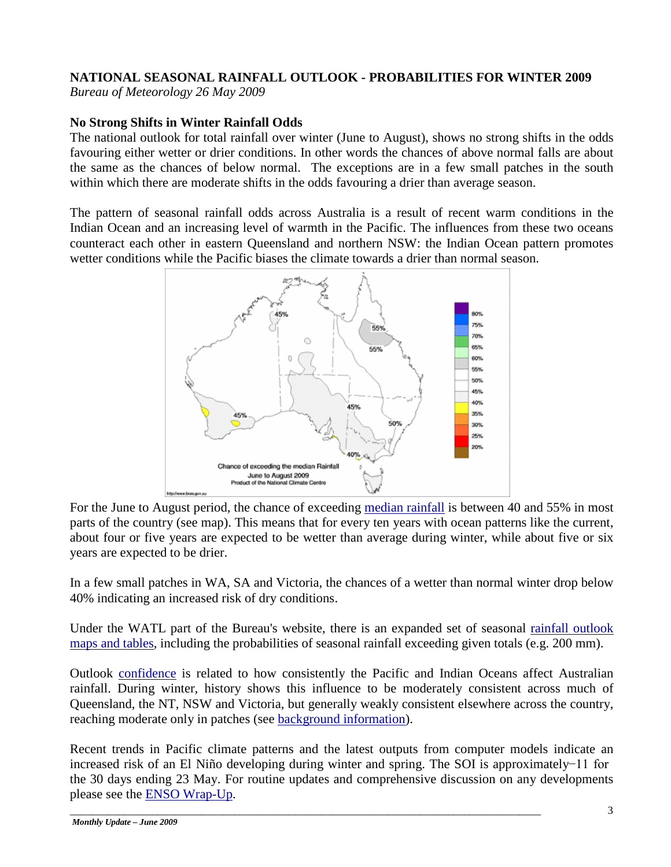## **NATIONAL SEASONAL RAINFALL OUTLOOK - PROBABILITIES FOR WINTER 2009**

*Bureau of Meteorology 26 May 2009*

## **No Strong Shifts in Winter Rainfall Odds**

The national outlook for total rainfall over winter (June to August), shows no strong shifts in the odds favouring either wetter or drier conditions. In other words the chances of above normal falls are about the same as the chances of below normal. The exceptions are in a few small patches in the south within which there are moderate shifts in the odds favouring a drier than average season.

The pattern of seasonal rainfall odds across Australia is a result of recent warm conditions in the Indian Ocean and an increasing level of warmth in the Pacific. The influences from these two oceans counteract each other in eastern Queensland and northern NSW: the Indian Ocean pattern promotes wetter conditions while the Pacific biases the climate towards a drier than normal season.



For the June to August period, the chance of exceeding [median rainfall](http://www.bom.gov.au/climate/averages/climatology/rainfall-percentiles/50/p50-June-August.png) is between 40 and 55% in most parts of the country (see map). This means that for every ten years with ocean patterns like the current, about four or five years are expected to be wetter than average during winter, while about five or six years are expected to be drier.

In a few small patches in WA, SA and Victoria, the chances of a wetter than normal winter drop below 40% indicating an increased risk of dry conditions.

Under the WATL part of the Bureau's website, there is an expanded set of seasonal [rainfall outlook](http://www.bom.gov.au/watl/rainfall/exceedance.html)  [maps and tables,](http://www.bom.gov.au/watl/rainfall/exceedance.html) including the probabilities of seasonal rainfall exceeding given totals (e.g. 200 mm).

Outlook [confidence](http://www.bom.gov.au/silo/products/verif/) is related to how consistently the Pacific and Indian Oceans affect Australian rainfall. During winter, history shows this influence to be moderately consistent across much of Queensland, the NT, NSW and Victoria, but generally weakly consistent elsewhere across the country, reaching moderate only in patches (see [background information\)](http://www.bom.gov.au/climate/ahead/rain_ahead.shtml#background).

Recent trends in Pacific climate patterns and the latest outputs from computer models indicate an increased risk of an El Niño developing during winter and spring. The SOI is approximately −11 for the 30 days ending 23 May. For routine updates and comprehensive discussion on any developments please see the [ENSO Wrap-Up.](http://www.bom.gov.au/climate/enso/)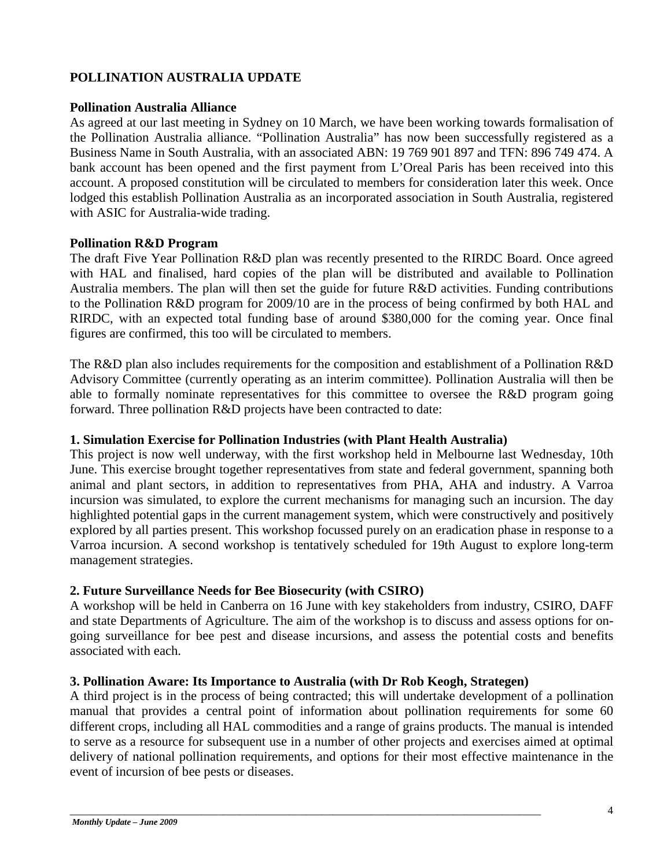## **POLLINATION AUSTRALIA UPDATE**

### **Pollination Australia Alliance**

As agreed at our last meeting in Sydney on 10 March, we have been working towards formalisation of the Pollination Australia alliance. "Pollination Australia" has now been successfully registered as a Business Name in South Australia, with an associated ABN: 19 769 901 897 and TFN: 896 749 474. A bank account has been opened and the first payment from L'Oreal Paris has been received into this account. A proposed constitution will be circulated to members for consideration later this week. Once lodged this establish Pollination Australia as an incorporated association in South Australia, registered with ASIC for Australia-wide trading.

## **Pollination R&D Program**

The draft Five Year Pollination R&D plan was recently presented to the RIRDC Board. Once agreed with HAL and finalised, hard copies of the plan will be distributed and available to Pollination Australia members. The plan will then set the guide for future R&D activities. Funding contributions to the Pollination R&D program for 2009/10 are in the process of being confirmed by both HAL and RIRDC, with an expected total funding base of around \$380,000 for the coming year. Once final figures are confirmed, this too will be circulated to members.

The R&D plan also includes requirements for the composition and establishment of a Pollination R&D Advisory Committee (currently operating as an interim committee). Pollination Australia will then be able to formally nominate representatives for this committee to oversee the R&D program going forward. Three pollination R&D projects have been contracted to date:

## **1. Simulation Exercise for Pollination Industries (with Plant Health Australia)**

This project is now well underway, with the first workshop held in Melbourne last Wednesday, 10th June. This exercise brought together representatives from state and federal government, spanning both animal and plant sectors, in addition to representatives from PHA, AHA and industry. A Varroa incursion was simulated, to explore the current mechanisms for managing such an incursion. The day highlighted potential gaps in the current management system, which were constructively and positively explored by all parties present. This workshop focussed purely on an eradication phase in response to a Varroa incursion. A second workshop is tentatively scheduled for 19th August to explore long-term management strategies.

## **2. Future Surveillance Needs for Bee Biosecurity (with CSIRO)**

A workshop will be held in Canberra on 16 June with key stakeholders from industry, CSIRO, DAFF and state Departments of Agriculture. The aim of the workshop is to discuss and assess options for ongoing surveillance for bee pest and disease incursions, and assess the potential costs and benefits associated with each.

## **3. Pollination Aware: Its Importance to Australia (with Dr Rob Keogh, Strategen)**

\_\_\_\_\_\_\_\_\_\_\_\_\_\_\_\_\_\_\_\_\_\_\_\_\_\_\_\_\_\_\_\_\_\_\_\_\_\_\_\_\_\_\_\_\_\_\_\_\_\_\_\_\_\_\_\_\_\_\_\_\_\_\_\_\_\_\_\_\_\_\_\_\_\_\_\_\_\_\_\_\_\_\_\_\_\_

A third project is in the process of being contracted; this will undertake development of a pollination manual that provides a central point of information about pollination requirements for some 60 different crops, including all HAL commodities and a range of grains products. The manual is intended to serve as a resource for subsequent use in a number of other projects and exercises aimed at optimal delivery of national pollination requirements, and options for their most effective maintenance in the event of incursion of bee pests or diseases.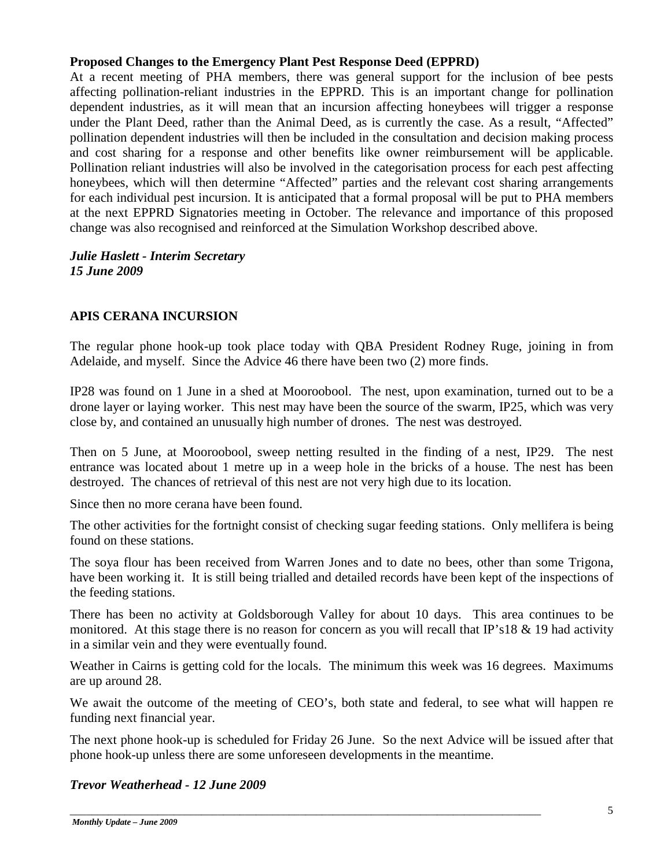## **Proposed Changes to the Emergency Plant Pest Response Deed (EPPRD)**

At a recent meeting of PHA members, there was general support for the inclusion of bee pests affecting pollination-reliant industries in the EPPRD. This is an important change for pollination dependent industries, as it will mean that an incursion affecting honeybees will trigger a response under the Plant Deed, rather than the Animal Deed, as is currently the case. As a result, "Affected" pollination dependent industries will then be included in the consultation and decision making process and cost sharing for a response and other benefits like owner reimbursement will be applicable. Pollination reliant industries will also be involved in the categorisation process for each pest affecting honeybees, which will then determine "Affected" parties and the relevant cost sharing arrangements for each individual pest incursion. It is anticipated that a formal proposal will be put to PHA members at the next EPPRD Signatories meeting in October. The relevance and importance of this proposed change was also recognised and reinforced at the Simulation Workshop described above.

## *Julie Haslett - Interim Secretary 15 June 2009*

## **APIS CERANA INCURSION**

The regular phone hook-up took place today with QBA President Rodney Ruge, joining in from Adelaide, and myself. Since the Advice 46 there have been two (2) more finds.

IP28 was found on 1 June in a shed at Mooroobool. The nest, upon examination, turned out to be a drone layer or laying worker. This nest may have been the source of the swarm, IP25, which was very close by, and contained an unusually high number of drones. The nest was destroyed.

Then on 5 June, at Mooroobool, sweep netting resulted in the finding of a nest, IP29. The nest entrance was located about 1 metre up in a weep hole in the bricks of a house. The nest has been destroyed. The chances of retrieval of this nest are not very high due to its location.

Since then no more cerana have been found.

The other activities for the fortnight consist of checking sugar feeding stations. Only mellifera is being found on these stations.

The soya flour has been received from Warren Jones and to date no bees, other than some Trigona, have been working it. It is still being trialled and detailed records have been kept of the inspections of the feeding stations.

There has been no activity at Goldsborough Valley for about 10 days. This area continues to be monitored. At this stage there is no reason for concern as you will recall that IP's18 & 19 had activity in a similar vein and they were eventually found.

Weather in Cairns is getting cold for the locals. The minimum this week was 16 degrees. Maximums are up around 28.

We await the outcome of the meeting of CEO's, both state and federal, to see what will happen re funding next financial year.

The next phone hook-up is scheduled for Friday 26 June. So the next Advice will be issued after that phone hook-up unless there are some unforeseen developments in the meantime.

\_\_\_\_\_\_\_\_\_\_\_\_\_\_\_\_\_\_\_\_\_\_\_\_\_\_\_\_\_\_\_\_\_\_\_\_\_\_\_\_\_\_\_\_\_\_\_\_\_\_\_\_\_\_\_\_\_\_\_\_\_\_\_\_\_\_\_\_\_\_\_\_\_\_\_\_\_\_\_\_\_\_\_\_\_\_

## *Trevor Weatherhead - 12 June 2009*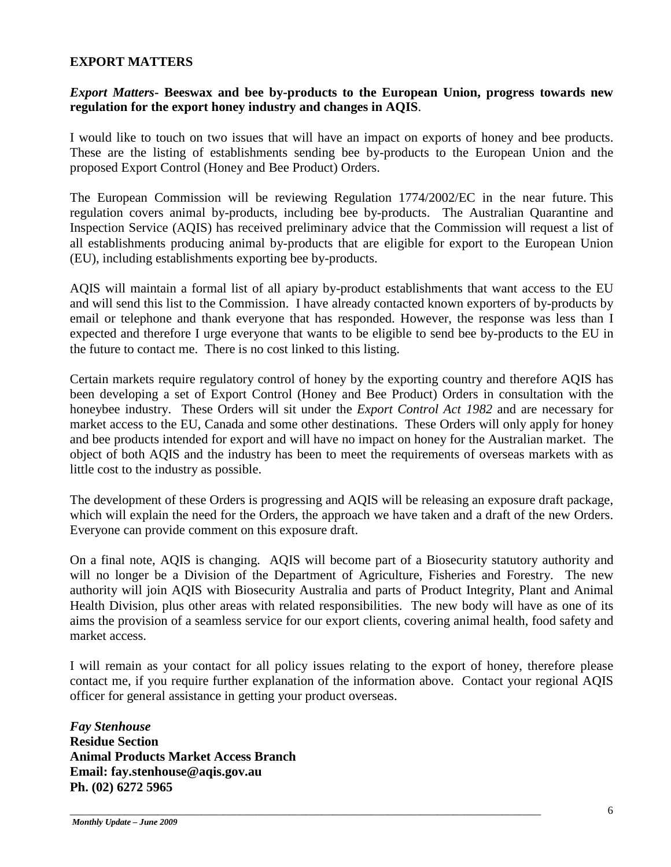#### **EXPORT MATTERS**

### *Export Matters***- Beeswax and bee by-products to the European Union, progress towards new regulation for the export honey industry and changes in AQIS**.

I would like to touch on two issues that will have an impact on exports of honey and bee products. These are the listing of establishments sending bee by-products to the European Union and the proposed Export Control (Honey and Bee Product) Orders.

The European Commission will be reviewing Regulation 1774/2002/EC in the near future. This regulation covers animal by-products, including bee by-products. The Australian Quarantine and Inspection Service (AQIS) has received preliminary advice that the Commission will request a list of all establishments producing animal by-products that are eligible for export to the European Union (EU), including establishments exporting bee by-products.

AQIS will maintain a formal list of all apiary by-product establishments that want access to the EU and will send this list to the Commission. I have already contacted known exporters of by-products by email or telephone and thank everyone that has responded. However, the response was less than I expected and therefore I urge everyone that wants to be eligible to send bee by-products to the EU in the future to contact me. There is no cost linked to this listing.

Certain markets require regulatory control of honey by the exporting country and therefore AQIS has been developing a set of Export Control (Honey and Bee Product) Orders in consultation with the honeybee industry. These Orders will sit under the *Export Control Act 1982* and are necessary for market access to the EU, Canada and some other destinations. These Orders will only apply for honey and bee products intended for export and will have no impact on honey for the Australian market. The object of both AQIS and the industry has been to meet the requirements of overseas markets with as little cost to the industry as possible.

The development of these Orders is progressing and AQIS will be releasing an exposure draft package, which will explain the need for the Orders, the approach we have taken and a draft of the new Orders. Everyone can provide comment on this exposure draft.

On a final note, AQIS is changing. AQIS will become part of a Biosecurity statutory authority and will no longer be a Division of the Department of Agriculture, Fisheries and Forestry. The new authority will join AQIS with Biosecurity Australia and parts of Product Integrity, Plant and Animal Health Division, plus other areas with related responsibilities. The new body will have as one of its aims the provision of a seamless service for our export clients, covering animal health, food safety and market access.

I will remain as your contact for all policy issues relating to the export of honey, therefore please contact me, if you require further explanation of the information above. Contact your regional AQIS officer for general assistance in getting your product overseas.

\_\_\_\_\_\_\_\_\_\_\_\_\_\_\_\_\_\_\_\_\_\_\_\_\_\_\_\_\_\_\_\_\_\_\_\_\_\_\_\_\_\_\_\_\_\_\_\_\_\_\_\_\_\_\_\_\_\_\_\_\_\_\_\_\_\_\_\_\_\_\_\_\_\_\_\_\_\_\_\_\_\_\_\_\_\_

*Fay Stenhouse* **Residue Section Animal Products Market Access Branch Email: fay.stenhouse@aqis.gov.au Ph. (02) 6272 5965**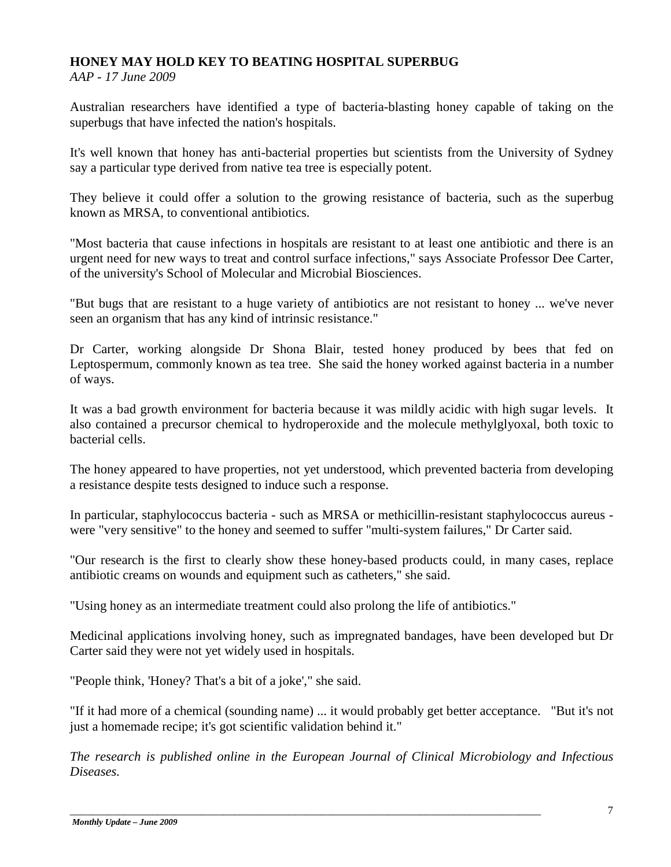## **HONEY MAY HOLD KEY TO BEATING HOSPITAL SUPERBUG**

*AAP - 17 June 2009*

Australian researchers have identified a type of bacteria-blasting honey capable of taking on the superbugs that have infected the nation's hospitals.

It's well known that honey has anti-bacterial properties but scientists from the University of Sydney say a particular type derived from native tea tree is especially potent.

They believe it could offer a solution to the growing resistance of bacteria, such as the superbug known as MRSA, to conventional antibiotics.

"Most bacteria that cause infections in hospitals are resistant to at least one antibiotic and there is an urgent need for new ways to treat and control surface infections," says Associate Professor Dee Carter, of the university's School of Molecular and Microbial Biosciences.

"But bugs that are resistant to a huge variety of antibiotics are not resistant to honey ... we've never seen an organism that has any kind of intrinsic resistance."

Dr Carter, working alongside Dr Shona Blair, tested honey produced by bees that fed on Leptospermum, commonly known as tea tree. She said the honey worked against bacteria in a number of ways.

It was a bad growth environment for bacteria because it was mildly acidic with high sugar levels. It also contained a precursor chemical to hydroperoxide and the molecule methylglyoxal, both toxic to bacterial cells.

The honey appeared to have properties, not yet understood, which prevented bacteria from developing a resistance despite tests designed to induce such a response.

In particular, staphylococcus bacteria - such as MRSA or methicillin-resistant staphylococcus aureus were "very sensitive" to the honey and seemed to suffer "multi-system failures," Dr Carter said.

"Our research is the first to clearly show these honey-based products could, in many cases, replace antibiotic creams on wounds and equipment such as catheters," she said.

"Using honey as an intermediate treatment could also prolong the life of antibiotics."

Medicinal applications involving honey, such as impregnated bandages, have been developed but Dr Carter said they were not yet widely used in hospitals.

"People think, 'Honey? That's a bit of a joke'," she said.

"If it had more of a chemical (sounding name) ... it would probably get better acceptance. "But it's not just a homemade recipe; it's got scientific validation behind it."

*The research is published online in the European Journal of Clinical Microbiology and Infectious Diseases.*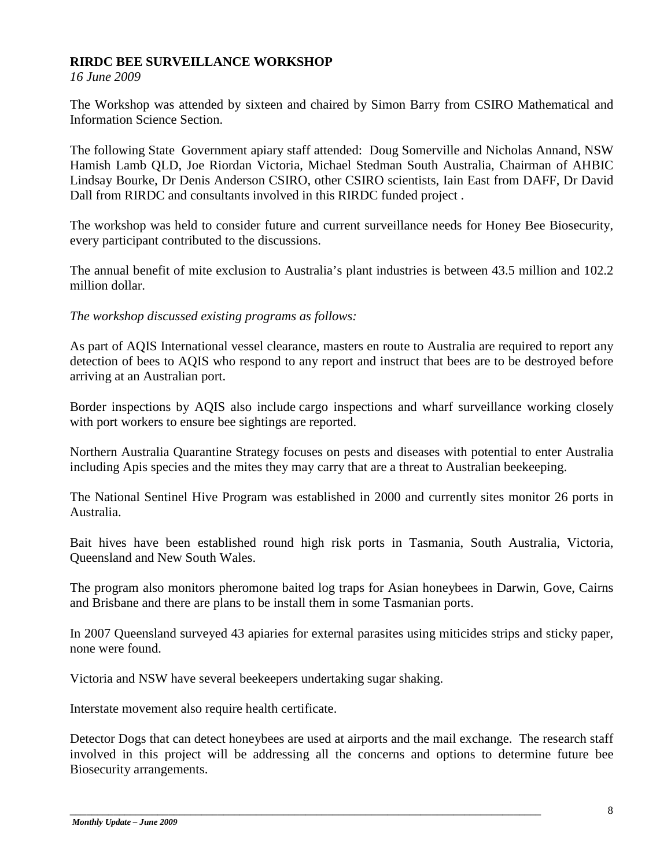## **RIRDC BEE SURVEILLANCE WORKSHOP**

*16 June 2009*

The Workshop was attended by sixteen and chaired by Simon Barry from CSIRO Mathematical and Information Science Section.

The following State Government apiary staff attended: Doug Somerville and Nicholas Annand, NSW Hamish Lamb QLD, Joe Riordan Victoria, Michael Stedman South Australia, Chairman of AHBIC Lindsay Bourke, Dr Denis Anderson CSIRO, other CSIRO scientists, Iain East from DAFF, Dr David Dall from RIRDC and consultants involved in this RIRDC funded project .

The workshop was held to consider future and current surveillance needs for Honey Bee Biosecurity, every participant contributed to the discussions.

The annual benefit of mite exclusion to Australia's plant industries is between 43.5 million and 102.2 million dollar.

*The workshop discussed existing programs as follows:*

As part of AQIS International vessel clearance, masters en route to Australia are required to report any detection of bees to AQIS who respond to any report and instruct that bees are to be destroyed before arriving at an Australian port.

Border inspections by AQIS also include cargo inspections and wharf surveillance working closely with port workers to ensure bee sightings are reported.

Northern Australia Quarantine Strategy focuses on pests and diseases with potential to enter Australia including Apis species and the mites they may carry that are a threat to Australian beekeeping.

The National Sentinel Hive Program was established in 2000 and currently sites monitor 26 ports in Australia.

Bait hives have been established round high risk ports in Tasmania, South Australia, Victoria, Queensland and New South Wales.

The program also monitors pheromone baited log traps for Asian honeybees in Darwin, Gove, Cairns and Brisbane and there are plans to be install them in some Tasmanian ports.

In 2007 Queensland surveyed 43 apiaries for external parasites using miticides strips and sticky paper, none were found.

Victoria and NSW have several beekeepers undertaking sugar shaking.

Interstate movement also require health certificate.

Detector Dogs that can detect honeybees are used at airports and the mail exchange. The research staff involved in this project will be addressing all the concerns and options to determine future bee Biosecurity arrangements.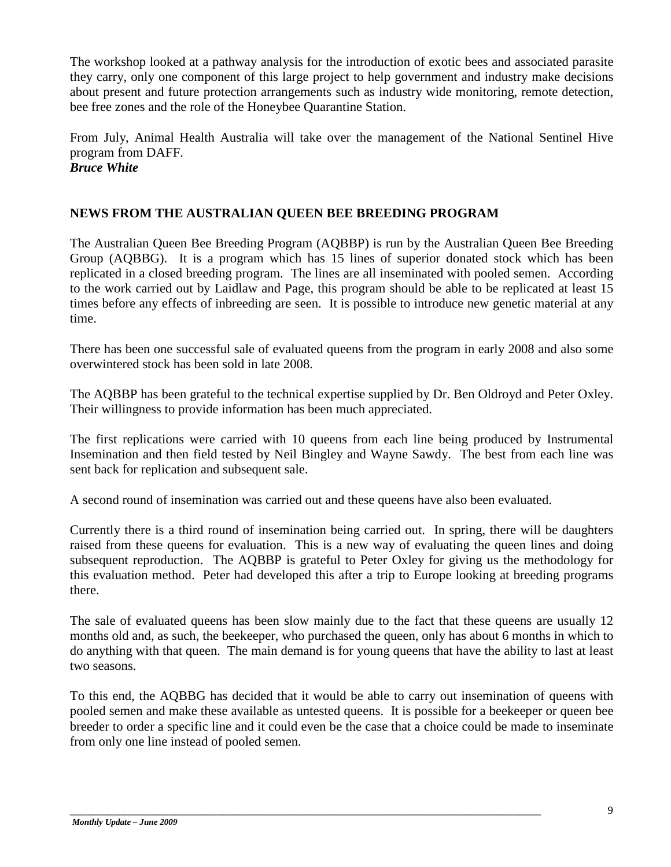The workshop looked at a pathway analysis for the introduction of exotic bees and associated parasite they carry, only one component of this large project to help government and industry make decisions about present and future protection arrangements such as industry wide monitoring, remote detection, bee free zones and the role of the Honeybee Quarantine Station.

From July, Animal Health Australia will take over the management of the National Sentinel Hive program from DAFF. *Bruce White*

## **NEWS FROM THE AUSTRALIAN QUEEN BEE BREEDING PROGRAM**

The Australian Queen Bee Breeding Program (AQBBP) is run by the Australian Queen Bee Breeding Group (AQBBG). It is a program which has 15 lines of superior donated stock which has been replicated in a closed breeding program. The lines are all inseminated with pooled semen. According to the work carried out by Laidlaw and Page, this program should be able to be replicated at least 15 times before any effects of inbreeding are seen. It is possible to introduce new genetic material at any time.

There has been one successful sale of evaluated queens from the program in early 2008 and also some overwintered stock has been sold in late 2008.

The AQBBP has been grateful to the technical expertise supplied by Dr. Ben Oldroyd and Peter Oxley. Their willingness to provide information has been much appreciated.

The first replications were carried with 10 queens from each line being produced by Instrumental Insemination and then field tested by Neil Bingley and Wayne Sawdy. The best from each line was sent back for replication and subsequent sale.

A second round of insemination was carried out and these queens have also been evaluated.

Currently there is a third round of insemination being carried out. In spring, there will be daughters raised from these queens for evaluation. This is a new way of evaluating the queen lines and doing subsequent reproduction. The AQBBP is grateful to Peter Oxley for giving us the methodology for this evaluation method. Peter had developed this after a trip to Europe looking at breeding programs there.

The sale of evaluated queens has been slow mainly due to the fact that these queens are usually 12 months old and, as such, the beekeeper, who purchased the queen, only has about 6 months in which to do anything with that queen. The main demand is for young queens that have the ability to last at least two seasons.

To this end, the AQBBG has decided that it would be able to carry out insemination of queens with pooled semen and make these available as untested queens. It is possible for a beekeeper or queen bee breeder to order a specific line and it could even be the case that a choice could be made to inseminate from only one line instead of pooled semen.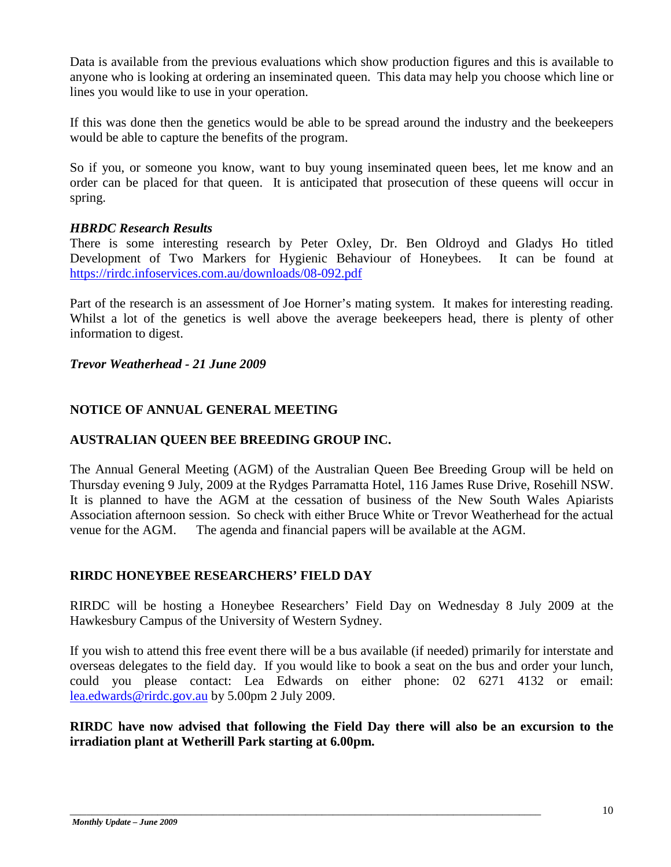Data is available from the previous evaluations which show production figures and this is available to anyone who is looking at ordering an inseminated queen. This data may help you choose which line or lines you would like to use in your operation.

If this was done then the genetics would be able to be spread around the industry and the beekeepers would be able to capture the benefits of the program.

So if you, or someone you know, want to buy young inseminated queen bees, let me know and an order can be placed for that queen. It is anticipated that prosecution of these queens will occur in spring.

## *HBRDC Research Results*

There is some interesting research by Peter Oxley, Dr. Ben Oldroyd and Gladys Ho titled Development of Two Markers for Hygienic Behaviour of Honeybees. It can be found at <https://rirdc.infoservices.com.au/downloads/08-092.pdf>

Part of the research is an assessment of Joe Horner's mating system. It makes for interesting reading. Whilst a lot of the genetics is well above the average beekeepers head, there is plenty of other information to digest.

*Trevor Weatherhead - 21 June 2009*

## **NOTICE OF ANNUAL GENERAL MEETING**

## **AUSTRALIAN QUEEN BEE BREEDING GROUP INC.**

The Annual General Meeting (AGM) of the Australian Queen Bee Breeding Group will be held on Thursday evening 9 July, 2009 at the Rydges Parramatta Hotel, 116 James Ruse Drive, Rosehill NSW. It is planned to have the AGM at the cessation of business of the New South Wales Apiarists Association afternoon session. So check with either Bruce White or Trevor Weatherhead for the actual venue for the AGM. The agenda and financial papers will be available at the AGM.

## **RIRDC HONEYBEE RESEARCHERS' FIELD DAY**

RIRDC will be hosting a Honeybee Researchers' Field Day on Wednesday 8 July 2009 at the Hawkesbury Campus of the University of Western Sydney.

If you wish to attend this free event there will be a bus available (if needed) primarily for interstate and overseas delegates to the field day. If you would like to book a seat on the bus and order your lunch, could you please contact: Lea Edwards on either phone: 02 6271 4132 or email: [lea.edwards@rirdc.gov.au](mailto:lea.edwards@rirdc.gov.au) by 5.00pm 2 July 2009.

**RIRDC have now advised that following the Field Day there will also be an excursion to the irradiation plant at Wetherill Park starting at 6.00pm.**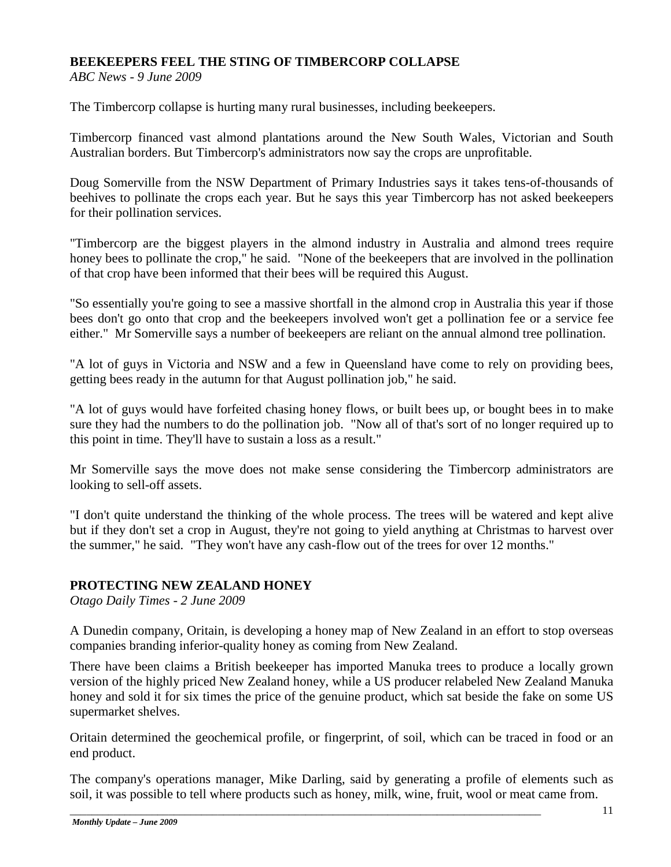## **BEEKEEPERS FEEL THE STING OF TIMBERCORP COLLAPSE**

*ABC News - 9 June 2009*

The Timbercorp collapse is hurting many rural businesses, including beekeepers.

Timbercorp financed vast almond plantations around the New South Wales, Victorian and South Australian borders. But Timbercorp's administrators now say the crops are unprofitable.

Doug Somerville from the NSW Department of Primary Industries says it takes tens-of-thousands of beehives to pollinate the crops each year. But he says this year Timbercorp has not asked beekeepers for their pollination services.

"Timbercorp are the biggest players in the almond industry in Australia and almond trees require honey bees to pollinate the crop," he said. "None of the beekeepers that are involved in the pollination of that crop have been informed that their bees will be required this August.

"So essentially you're going to see a massive shortfall in the almond crop in Australia this year if those bees don't go onto that crop and the beekeepers involved won't get a pollination fee or a service fee either." Mr Somerville says a number of beekeepers are reliant on the annual almond tree pollination.

"A lot of guys in Victoria and NSW and a few in Queensland have come to rely on providing bees, getting bees ready in the autumn for that August pollination job," he said.

"A lot of guys would have forfeited chasing honey flows, or built bees up, or bought bees in to make sure they had the numbers to do the pollination job. "Now all of that's sort of no longer required up to this point in time. They'll have to sustain a loss as a result."

Mr Somerville says the move does not make sense considering the Timbercorp administrators are looking to sell-off assets.

"I don't quite understand the thinking of the whole process. The trees will be watered and kept alive but if they don't set a crop in August, they're not going to yield anything at Christmas to harvest over the summer," he said. "They won't have any cash-flow out of the trees for over 12 months."

## **PROTECTING NEW ZEALAND HONEY**

*Otago Daily Times - 2 June 2009*

A Dunedin company, Oritain, is developing a honey map of New Zealand in an effort to stop overseas companies branding inferior-quality honey as coming from New Zealand.

There have been claims a British beekeeper has imported Manuka trees to produce a locally grown version of the highly priced New Zealand honey, while a US producer relabeled New Zealand Manuka honey and sold it for six times the price of the genuine product, which sat beside the fake on some US supermarket shelves.

Oritain determined the geochemical profile, or fingerprint, of soil, which can be traced in food or an end product.

The company's operations manager, Mike Darling, said by generating a profile of elements such as soil, it was possible to tell where products such as honey, milk, wine, fruit, wool or meat came from.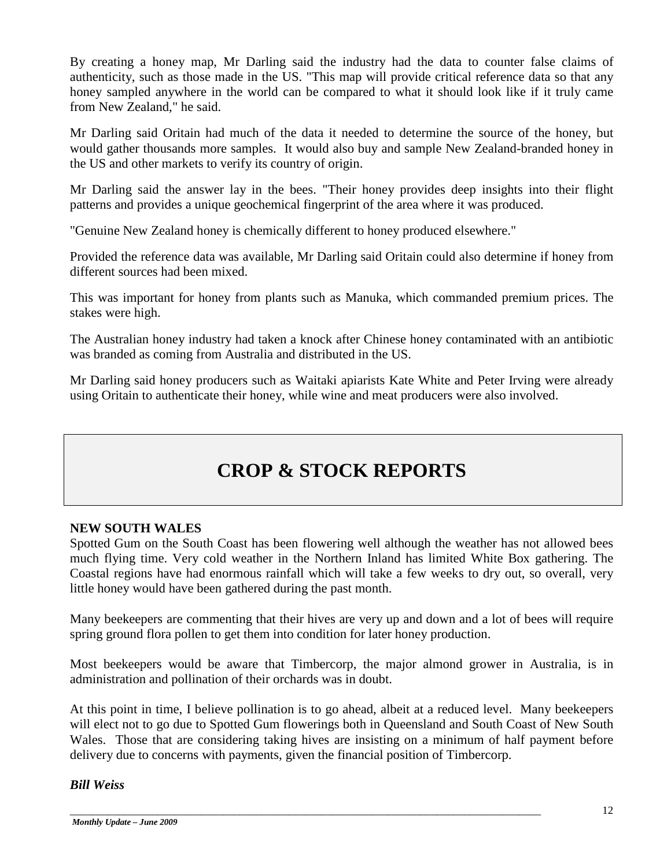By creating a honey map, Mr Darling said the industry had the data to counter false claims of authenticity, such as those made in the US. "This map will provide critical reference data so that any honey sampled anywhere in the world can be compared to what it should look like if it truly came from New Zealand," he said.

Mr Darling said Oritain had much of the data it needed to determine the source of the honey, but would gather thousands more samples. It would also buy and sample New Zealand-branded honey in the US and other markets to verify its country of origin.

Mr Darling said the answer lay in the bees. "Their honey provides deep insights into their flight patterns and provides a unique geochemical fingerprint of the area where it was produced.

"Genuine New Zealand honey is chemically different to honey produced elsewhere."

Provided the reference data was available, Mr Darling said Oritain could also determine if honey from different sources had been mixed.

This was important for honey from plants such as Manuka, which commanded premium prices. The stakes were high.

The Australian honey industry had taken a knock after Chinese honey contaminated with an antibiotic was branded as coming from Australia and distributed in the US.

Mr Darling said honey producers such as Waitaki apiarists Kate White and Peter Irving were already using Oritain to authenticate their honey, while wine and meat producers were also involved.

## **CROP & STOCK REPORTS**

### **NEW SOUTH WALES**

Spotted Gum on the South Coast has been flowering well although the weather has not allowed bees much flying time. Very cold weather in the Northern Inland has limited White Box gathering. The Coastal regions have had enormous rainfall which will take a few weeks to dry out, so overall, very little honey would have been gathered during the past month.

Many beekeepers are commenting that their hives are very up and down and a lot of bees will require spring ground flora pollen to get them into condition for later honey production.

Most beekeepers would be aware that Timbercorp, the major almond grower in Australia, is in administration and pollination of their orchards was in doubt.

At this point in time, I believe pollination is to go ahead, albeit at a reduced level. Many beekeepers will elect not to go due to Spotted Gum flowerings both in Queensland and South Coast of New South Wales. Those that are considering taking hives are insisting on a minimum of half payment before delivery due to concerns with payments, given the financial position of Timbercorp.

\_\_\_\_\_\_\_\_\_\_\_\_\_\_\_\_\_\_\_\_\_\_\_\_\_\_\_\_\_\_\_\_\_\_\_\_\_\_\_\_\_\_\_\_\_\_\_\_\_\_\_\_\_\_\_\_\_\_\_\_\_\_\_\_\_\_\_\_\_\_\_\_\_\_\_\_\_\_\_\_\_\_\_\_\_\_

*Bill Weiss*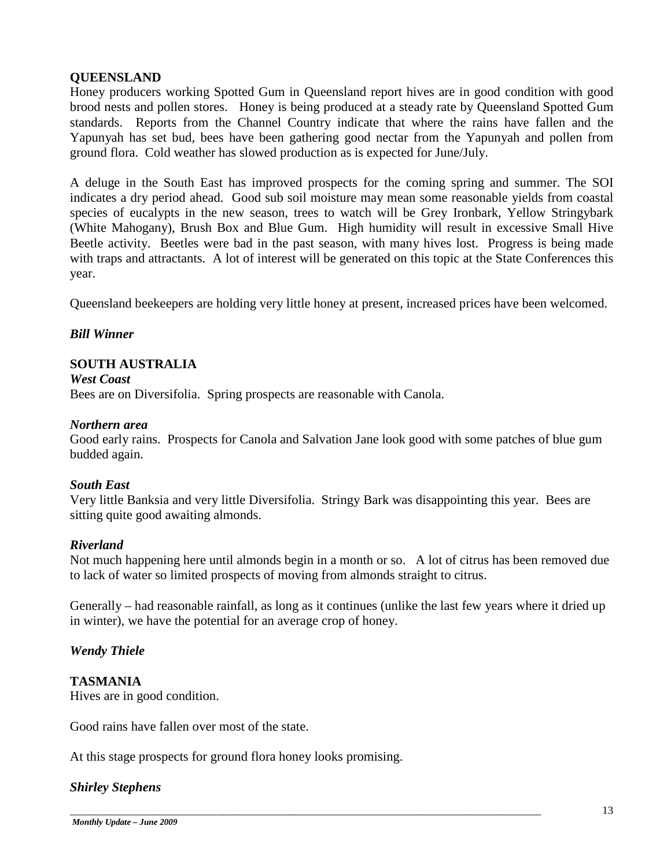## **QUEENSLAND**

Honey producers working Spotted Gum in Queensland report hives are in good condition with good brood nests and pollen stores. Honey is being produced at a steady rate by Queensland Spotted Gum standards. Reports from the Channel Country indicate that where the rains have fallen and the Yapunyah has set bud, bees have been gathering good nectar from the Yapunyah and pollen from ground flora. Cold weather has slowed production as is expected for June/July.

A deluge in the South East has improved prospects for the coming spring and summer. The SOI indicates a dry period ahead. Good sub soil moisture may mean some reasonable yields from coastal species of eucalypts in the new season, trees to watch will be Grey Ironbark, Yellow Stringybark (White Mahogany), Brush Box and Blue Gum. High humidity will result in excessive Small Hive Beetle activity. Beetles were bad in the past season, with many hives lost. Progress is being made with traps and attractants. A lot of interest will be generated on this topic at the State Conferences this year.

Queensland beekeepers are holding very little honey at present, increased prices have been welcomed.

## *Bill Winner*

## **SOUTH AUSTRALIA**

*West Coast* Bees are on Diversifolia. Spring prospects are reasonable with Canola.

#### *Northern area*

Good early rains. Prospects for Canola and Salvation Jane look good with some patches of blue gum budded again.

### *South East*

Very little Banksia and very little Diversifolia. Stringy Bark was disappointing this year. Bees are sitting quite good awaiting almonds.

### *Riverland*

Not much happening here until almonds begin in a month or so. A lot of citrus has been removed due to lack of water so limited prospects of moving from almonds straight to citrus.

Generally – had reasonable rainfall, as long as it continues (unlike the last few years where it dried up in winter), we have the potential for an average crop of honey.

\_\_\_\_\_\_\_\_\_\_\_\_\_\_\_\_\_\_\_\_\_\_\_\_\_\_\_\_\_\_\_\_\_\_\_\_\_\_\_\_\_\_\_\_\_\_\_\_\_\_\_\_\_\_\_\_\_\_\_\_\_\_\_\_\_\_\_\_\_\_\_\_\_\_\_\_\_\_\_\_\_\_\_\_\_\_

### *Wendy Thiele*

## **TASMANIA**

Hives are in good condition.

Good rains have fallen over most of the state.

At this stage prospects for ground flora honey looks promising.

### *Shirley Stephens*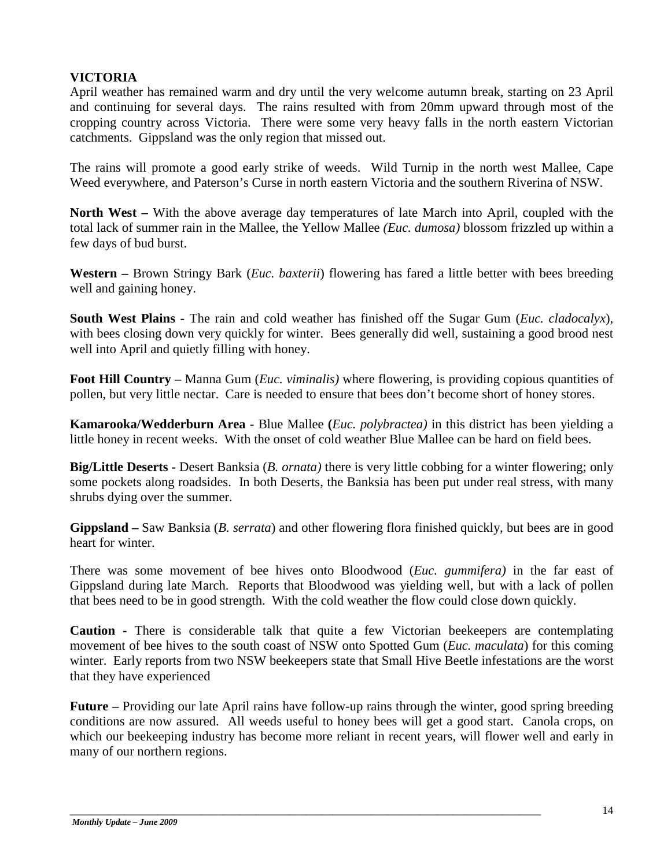## **VICTORIA**

April weather has remained warm and dry until the very welcome autumn break, starting on 23 April and continuing for several days. The rains resulted with from 20mm upward through most of the cropping country across Victoria. There were some very heavy falls in the north eastern Victorian catchments. Gippsland was the only region that missed out.

The rains will promote a good early strike of weeds. Wild Turnip in the north west Mallee, Cape Weed everywhere, and Paterson's Curse in north eastern Victoria and the southern Riverina of NSW.

**North West –** With the above average day temperatures of late March into April, coupled with the total lack of summer rain in the Mallee, the Yellow Mallee *(Euc. dumosa)* blossom frizzled up within a few days of bud burst.

**Western –** Brown Stringy Bark (*Euc. baxterii*) flowering has fared a little better with bees breeding well and gaining honey.

**South West Plains -** The rain and cold weather has finished off the Sugar Gum (*Euc. cladocalyx*), with bees closing down very quickly for winter. Bees generally did well, sustaining a good brood nest well into April and quietly filling with honey.

**Foot Hill Country –** Manna Gum (*Euc. viminalis)* where flowering, is providing copious quantities of pollen, but very little nectar. Care is needed to ensure that bees don't become short of honey stores.

**Kamarooka/Wedderburn Area -** Blue Mallee **(***Euc. polybractea)* in this district has been yielding a little honey in recent weeks. With the onset of cold weather Blue Mallee can be hard on field bees.

**Big/Little Deserts -** Desert Banksia (*B. ornata)* there is very little cobbing for a winter flowering; only some pockets along roadsides. In both Deserts, the Banksia has been put under real stress, with many shrubs dying over the summer.

**Gippsland –** Saw Banksia (*B. serrata*) and other flowering flora finished quickly, but bees are in good heart for winter.

There was some movement of bee hives onto Bloodwood (*Euc. gummifera)* in the far east of Gippsland during late March. Reports that Bloodwood was yielding well, but with a lack of pollen that bees need to be in good strength. With the cold weather the flow could close down quickly.

**Caution -** There is considerable talk that quite a few Victorian beekeepers are contemplating movement of bee hives to the south coast of NSW onto Spotted Gum (*Euc. maculata*) for this coming winter. Early reports from two NSW beekeepers state that Small Hive Beetle infestations are the worst that they have experienced

**Future –** Providing our late April rains have follow-up rains through the winter, good spring breeding conditions are now assured. All weeds useful to honey bees will get a good start. Canola crops, on which our beekeeping industry has become more reliant in recent years, will flower well and early in many of our northern regions.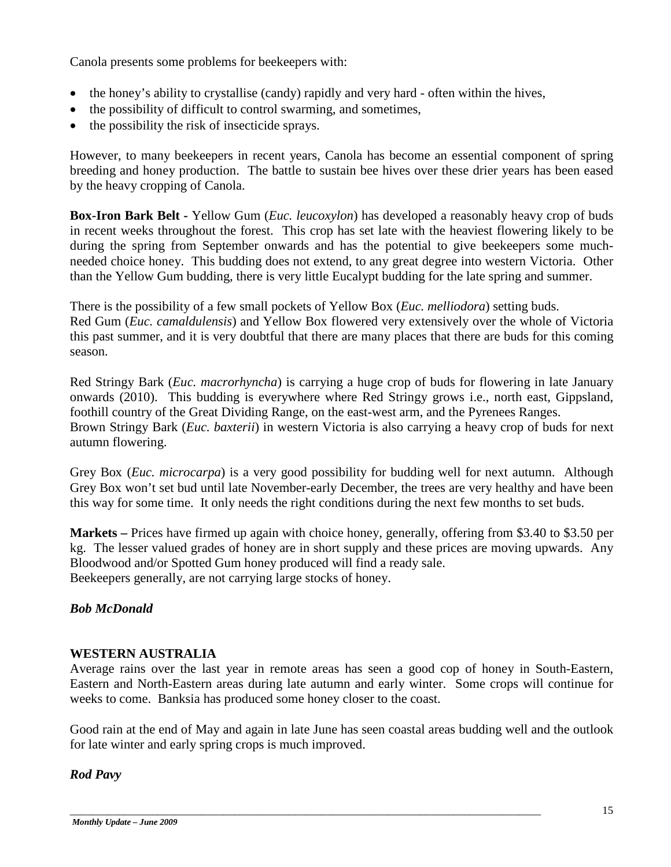Canola presents some problems for beekeepers with:

- the honey's ability to crystallise (candy) rapidly and very hard often within the hives,
- the possibility of difficult to control swarming, and sometimes,
- the possibility the risk of insecticide sprays.

However, to many beekeepers in recent years, Canola has become an essential component of spring breeding and honey production. The battle to sustain bee hives over these drier years has been eased by the heavy cropping of Canola.

**Box-Iron Bark Belt -** Yellow Gum (*Euc. leucoxylon*) has developed a reasonably heavy crop of buds in recent weeks throughout the forest. This crop has set late with the heaviest flowering likely to be during the spring from September onwards and has the potential to give beekeepers some muchneeded choice honey. This budding does not extend, to any great degree into western Victoria. Other than the Yellow Gum budding, there is very little Eucalypt budding for the late spring and summer.

There is the possibility of a few small pockets of Yellow Box (*Euc. melliodora*) setting buds. Red Gum (*Euc. camaldulensis*) and Yellow Box flowered very extensively over the whole of Victoria this past summer, and it is very doubtful that there are many places that there are buds for this coming season.

Red Stringy Bark (*Euc. macrorhyncha*) is carrying a huge crop of buds for flowering in late January onwards (2010). This budding is everywhere where Red Stringy grows i.e., north east, Gippsland, foothill country of the Great Dividing Range, on the east-west arm, and the Pyrenees Ranges. Brown Stringy Bark (*Euc. baxterii*) in western Victoria is also carrying a heavy crop of buds for next autumn flowering.

Grey Box (*Euc. microcarpa*) is a very good possibility for budding well for next autumn. Although Grey Box won't set bud until late November-early December, the trees are very healthy and have been this way for some time. It only needs the right conditions during the next few months to set buds.

**Markets –** Prices have firmed up again with choice honey, generally, offering from \$3.40 to \$3.50 per kg. The lesser valued grades of honey are in short supply and these prices are moving upwards. Any Bloodwood and/or Spotted Gum honey produced will find a ready sale. Beekeepers generally, are not carrying large stocks of honey.

## *Bob McDonald*

### **WESTERN AUSTRALIA**

Average rains over the last year in remote areas has seen a good cop of honey in South-Eastern, Eastern and North-Eastern areas during late autumn and early winter. Some crops will continue for weeks to come. Banksia has produced some honey closer to the coast.

Good rain at the end of May and again in late June has seen coastal areas budding well and the outlook for late winter and early spring crops is much improved.

\_\_\_\_\_\_\_\_\_\_\_\_\_\_\_\_\_\_\_\_\_\_\_\_\_\_\_\_\_\_\_\_\_\_\_\_\_\_\_\_\_\_\_\_\_\_\_\_\_\_\_\_\_\_\_\_\_\_\_\_\_\_\_\_\_\_\_\_\_\_\_\_\_\_\_\_\_\_\_\_\_\_\_\_\_\_

## *Rod Pavy*